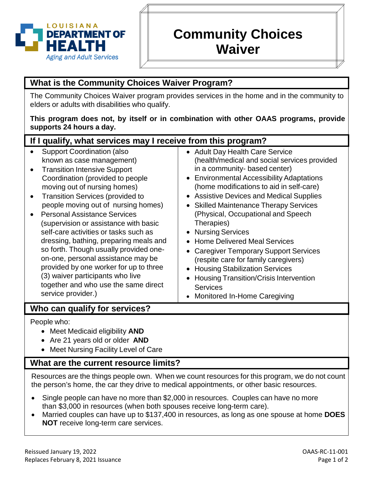

# **Community Choices Waiver**

# **What is the Community Choices Waiver Program?**

The Community Choices Waiver program provides services in the home and in the community to elders or adults with disabilities who qualify.

#### **This program does not, by itself or in combination with other OAAS programs, provide supports 24 hours a day.**

| If I qualify, what services may I receive from this program?                                                                                                                                                                                                                                                                                                                                                                                                                                                                                                                                                                                               |                                                                                                                                                                                                                                                                                                                                                                                                                                                                                                                                                                                                                                                                               |
|------------------------------------------------------------------------------------------------------------------------------------------------------------------------------------------------------------------------------------------------------------------------------------------------------------------------------------------------------------------------------------------------------------------------------------------------------------------------------------------------------------------------------------------------------------------------------------------------------------------------------------------------------------|-------------------------------------------------------------------------------------------------------------------------------------------------------------------------------------------------------------------------------------------------------------------------------------------------------------------------------------------------------------------------------------------------------------------------------------------------------------------------------------------------------------------------------------------------------------------------------------------------------------------------------------------------------------------------------|
| <b>Support Coordination (also</b><br>known as case management)<br><b>Transition Intensive Support</b><br>Coordination (provided to people<br>moving out of nursing homes)<br><b>Transition Services (provided to</b><br>people moving out of nursing homes)<br><b>Personal Assistance Services</b><br>(supervision or assistance with basic<br>self-care activities or tasks such as<br>dressing, bathing, preparing meals and<br>so forth. Though usually provided one-<br>on-one, personal assistance may be<br>provided by one worker for up to three<br>(3) waiver participants who live<br>together and who use the same direct<br>service provider.) | • Adult Day Health Care Service<br>(health/medical and social services provided<br>in a community- based center)<br>• Environmental Accessibility Adaptations<br>(home modifications to aid in self-care)<br>• Assistive Devices and Medical Supplies<br>• Skilled Maintenance Therapy Services<br>(Physical, Occupational and Speech<br>Therapies)<br><b>Nursing Services</b><br><b>Home Delivered Meal Services</b><br><b>Caregiver Temporary Support Services</b><br>$\bullet$<br>(respite care for family caregivers)<br><b>Housing Stabilization Services</b><br><b>Housing Transition/Crisis Intervention</b><br><b>Services</b><br><b>Monitored In-Home Caregiving</b> |
| Who can qualify for services?                                                                                                                                                                                                                                                                                                                                                                                                                                                                                                                                                                                                                              |                                                                                                                                                                                                                                                                                                                                                                                                                                                                                                                                                                                                                                                                               |
| People who:<br>A Anast Modionid oligibility AND                                                                                                                                                                                                                                                                                                                                                                                                                                                                                                                                                                                                            |                                                                                                                                                                                                                                                                                                                                                                                                                                                                                                                                                                                                                                                                               |

• Meet Medicaid eligibility **AND**

- Are 21 years old or older **AND**
- Meet Nursing Facility Level of Care

# **What are the current resource limits?**

Resources are the things people own. When we count resources for this program, we do not count the person's home, the car they drive to medical appointments, or other basic resources.

- Single people can have no more than \$2,000 in resources. Couples can have no more than \$3,000 in resources (when both spouses receive long-term care).
- Married couples can have up to \$137,400 in resources, as long as one spouse at home **DOES NOT** receive long-term care services.